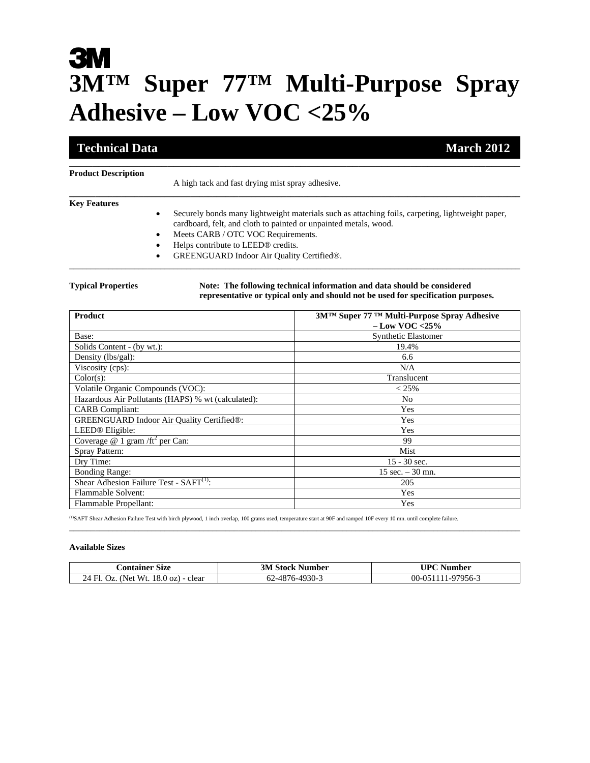# **3M**<br>3MTM Super 77™ Multi-Purpose Spray **Adhesive – Low VOC <25%**

**\_\_\_\_\_\_\_\_\_\_\_\_\_\_\_\_\_\_\_\_\_\_\_\_\_\_\_\_\_\_\_\_\_\_\_\_\_\_\_\_\_\_\_\_\_\_\_\_\_\_\_\_\_\_\_\_\_\_\_\_\_\_\_\_\_\_\_\_\_\_\_\_\_\_\_\_\_\_\_\_\_\_\_\_\_\_\_\_\_\_\_\_\_\_\_\_\_\_\_\_\_\_\_\_** 

\_\_\_\_\_\_\_\_\_\_\_\_\_\_\_\_\_\_\_\_\_\_\_\_\_\_\_\_\_\_\_\_\_\_\_\_\_\_\_\_\_\_\_\_\_\_\_\_\_\_\_\_\_\_\_\_\_\_\_\_\_\_\_\_\_\_\_\_\_\_\_\_\_\_\_\_\_\_\_\_\_\_\_\_\_\_\_\_\_\_\_\_\_\_\_\_\_\_\_\_\_\_\_\_

## **Technical Data** March 2012

## \_\_\_\_\_\_\_\_\_\_\_\_\_\_\_\_\_\_\_\_\_\_\_\_\_\_\_\_\_\_\_\_\_\_\_\_\_\_\_\_\_\_\_\_\_\_\_\_\_\_\_\_\_\_\_\_\_\_\_\_\_\_\_\_\_\_\_\_\_\_\_\_\_\_\_\_\_\_ **Product Description**

A high tack and fast drying mist spray adhesive.

### **Key Features**

- Securely bonds many lightweight materials such as attaching foils, carpeting, lightweight paper, cardboard, felt, and cloth to painted or unpainted metals, wood.
- Meets CARB / OTC VOC Requirements.
- Helps contribute to LEED® credits.
- GREENGUARD Indoor Air Quality Certified®.

#### **Typical Properties Note: The following technical information and data should be considered representative or typical only and should not be used for specification purposes.**

| <b>Product</b>                                     | 3M™ Super 77 ™ Multi-Purpose Spray Adhesive<br>$-$ Low VOC <25% |
|----------------------------------------------------|-----------------------------------------------------------------|
| Base:                                              | <b>Synthetic Elastomer</b>                                      |
| Solids Content - (by wt.):                         | 19.4%                                                           |
| Density (lbs/gal):                                 | 6.6                                                             |
| Viscosity (cps):                                   | N/A                                                             |
| Color(s):                                          | Translucent                                                     |
| Volatile Organic Compounds (VOC):                  | $< 25\%$                                                        |
| Hazardous Air Pollutants (HAPS) % wt (calculated): | N <sub>0</sub>                                                  |
| <b>CARB</b> Compliant:                             | Yes                                                             |
| GREENGUARD Indoor Air Quality Certified®:          | Yes                                                             |
| LEED <sup>®</sup> Eligible:                        | Yes                                                             |
| Coverage @ 1 gram /ft <sup>2</sup> per Can:        | 99                                                              |
| Spray Pattern:                                     | Mist                                                            |
| Dry Time:                                          | $15 - 30$ sec.                                                  |
| <b>Bonding Range:</b>                              | $15 \text{ sec.} - 30 \text{ mm.}$                              |
| Shear Adhesion Failure Test - $SAFT^{(1)}$ :       | 205                                                             |
| Flammable Solvent:                                 | Yes                                                             |
| Flammable Propellant:                              | Yes                                                             |

(1)SAFT Shear Adhesion Failure Test with birch plywood, 1 inch overlap, 100 grams used, temperature start at 90F and ramped 10F every 10 mn. until complete failure.  $\bot$  , and the set of the set of the set of the set of the set of the set of the set of the set of the set of the set of the set of the set of the set of the set of the set of the set of the set of the set of the set of t

#### **Available Sizes**

| <b>Container Size</b>                                       | 3M<br>: Stock Number                 | $\mathbf{P}$<br>Number    |
|-------------------------------------------------------------|--------------------------------------|---------------------------|
| Net Wt.<br>24 Fl.<br>$18.0 \text{ oz}$ ) - 1<br>clear<br>UΖ | <sup>2</sup> -4930-7<br>$-487$<br>JZ | . -97956-3<br>00-0:<br>Λ5 |